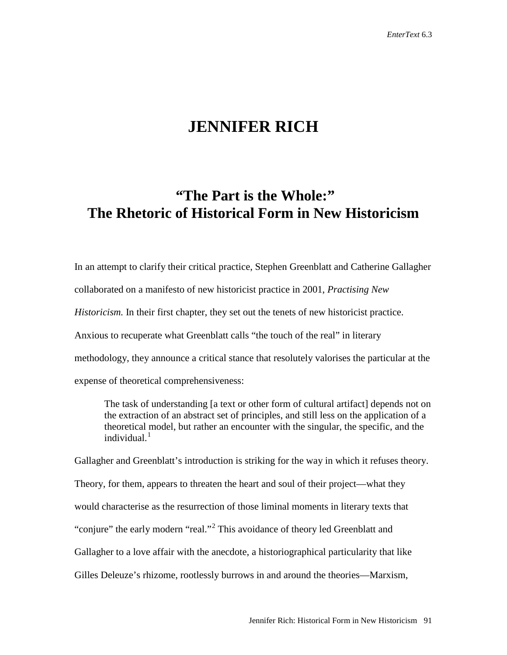# **JENNIFER RICH**

# **"The Part is the Whole:" The Rhetoric of Historical Form in New Historicism**

In an attempt to clarify their critical practice, Stephen Greenblatt and Catherine Gallagher collaborated on a manifesto of new historicist practice in 2001, *Practising New Historicism.* In their first chapter, they set out the tenets of new historicist practice. Anxious to recuperate what Greenblatt calls "the touch of the real" in literary methodology, they announce a critical stance that resolutely valorises the particular at the expense of theoretical comprehensiveness:

The task of understanding [a text or other form of cultural artifact] depends not on the extraction of an abstract set of principles, and still less on the application of a theoretical model, but rather an encounter with the singular, the specific, and the individual.<sup>[1](#page-17-0)</sup>

Gallagher and Greenblatt's introduction is striking for the way in which it refuses theory. Theory, for them, appears to threaten the heart and soul of their project—what they would characterise as the resurrection of those liminal moments in literary texts that "conjure" the early modern "real."<sup>[2](#page-17-1)</sup> This avoidance of theory led Greenblatt and Gallagher to a love affair with the anecdote, a historiographical particularity that like Gilles Deleuze's rhizome, rootlessly burrows in and around the theories—Marxism,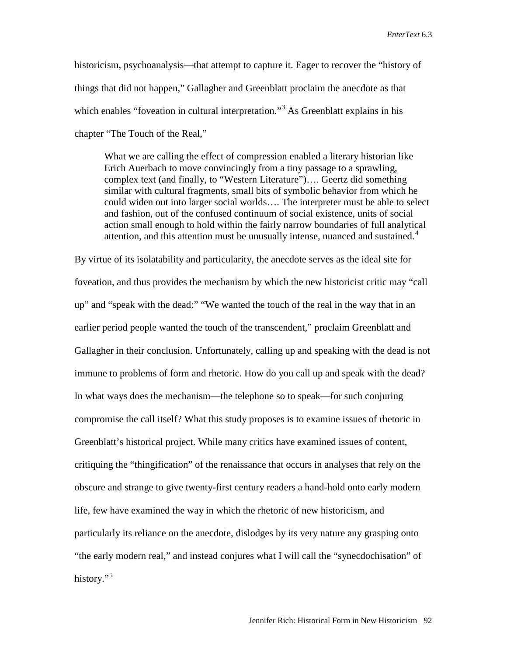historicism, psychoanalysis—that attempt to capture it. Eager to recover the "history of things that did not happen," Gallagher and Greenblatt proclaim the anecdote as that which enables "foveation in cultural interpretation."<sup>[3](#page-18-0)</sup> As Greenblatt explains in his chapter "The Touch of the Real,"

What we are calling the effect of compression enabled a literary historian like Erich Auerbach to move convincingly from a tiny passage to a sprawling, complex text (and finally, to "Western Literature")…. Geertz did something similar with cultural fragments, small bits of symbolic behavior from which he could widen out into larger social worlds…. The interpreter must be able to select and fashion, out of the confused continuum of social existence, units of social action small enough to hold within the fairly narrow boundaries of full analytical attention, and this attention must be unusually intense, nuanced and sustained.<sup>[4](#page-18-1)</sup>

By virtue of its isolatability and particularity, the anecdote serves as the ideal site for foveation, and thus provides the mechanism by which the new historicist critic may "call up" and "speak with the dead:" "We wanted the touch of the real in the way that in an earlier period people wanted the touch of the transcendent," proclaim Greenblatt and Gallagher in their conclusion. Unfortunately, calling up and speaking with the dead is not immune to problems of form and rhetoric. How do you call up and speak with the dead? In what ways does the mechanism—the telephone so to speak—for such conjuring compromise the call itself? What this study proposes is to examine issues of rhetoric in Greenblatt's historical project. While many critics have examined issues of content, critiquing the "thingification" of the renaissance that occurs in analyses that rely on the obscure and strange to give twenty-first century readers a hand-hold onto early modern life, few have examined the way in which the rhetoric of new historicism, and particularly its reliance on the anecdote, dislodges by its very nature any grasping onto "the early modern real," and instead conjures what I will call the "synecdochisation" of history."<sup>[5](#page-18-2)</sup>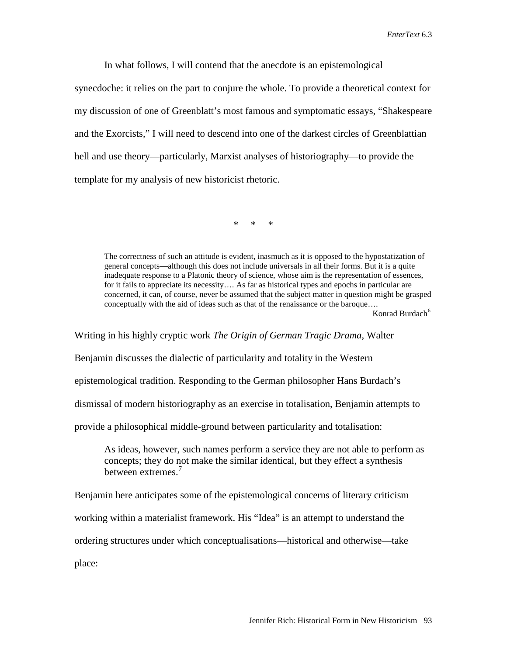In what follows, I will contend that the anecdote is an epistemological synecdoche: it relies on the part to conjure the whole. To provide a theoretical context for my discussion of one of Greenblatt's most famous and symptomatic essays, "Shakespeare and the Exorcists," I will need to descend into one of the darkest circles of Greenblattian hell and use theory—particularly, Marxist analyses of historiography—to provide the template for my analysis of new historicist rhetoric.

\* \* \*

The correctness of such an attitude is evident, inasmuch as it is opposed to the hypostatization of general concepts—although this does not include universals in all their forms. But it is a quite inadequate response to a Platonic theory of science, whose aim is the representation of essences, for it fails to appreciate its necessity…. As far as historical types and epochs in particular are concerned, it can, of course, never be assumed that the subject matter in question might be grasped conceptually with the aid of ideas such as that of the renaissance or the baroque….

Konrad Burdach<sup>[6](#page-19-0)</sup>

Writing in his highly cryptic work *The Origin of German Tragic Drama*, Walter Benjamin discusses the dialectic of particularity and totality in the Western epistemological tradition. Responding to the German philosopher Hans Burdach's dismissal of modern historiography as an exercise in totalisation, Benjamin attempts to provide a philosophical middle-ground between particularity and totalisation:

As ideas, however, such names perform a service they are not able to perform as concepts; they do not make the similar identical, but they effect a synthesis between extremes.<sup>[7](#page-19-1)</sup>

Benjamin here anticipates some of the epistemological concerns of literary criticism working within a materialist framework. His "Idea" is an attempt to understand the ordering structures under which conceptualisations—historical and otherwise—take place: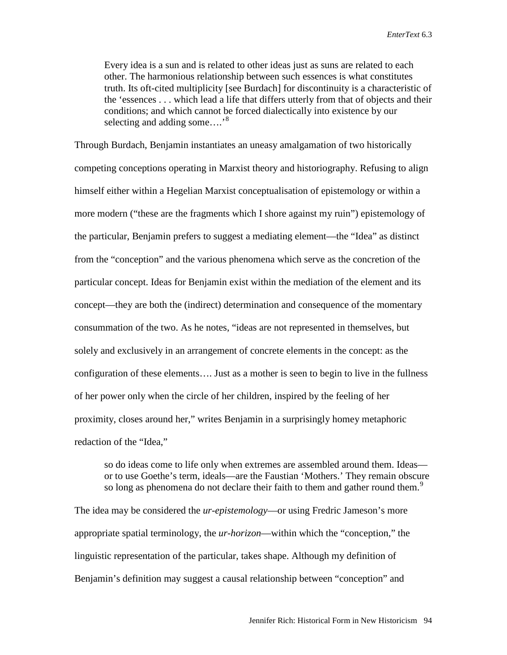Every idea is a sun and is related to other ideas just as suns are related to each other. The harmonious relationship between such essences is what constitutes truth. Its oft-cited multiplicity [see Burdach] for discontinuity is a characteristic of the 'essences . . . which lead a life that differs utterly from that of objects and their conditions; and which cannot be forced dialectically into existence by our selecting and adding some....'<sup>[8](#page-19-2)</sup>

Through Burdach, Benjamin instantiates an uneasy amalgamation of two historically competing conceptions operating in Marxist theory and historiography. Refusing to align himself either within a Hegelian Marxist conceptualisation of epistemology or within a more modern ("these are the fragments which I shore against my ruin") epistemology of the particular, Benjamin prefers to suggest a mediating element—the "Idea" as distinct from the "conception" and the various phenomena which serve as the concretion of the particular concept. Ideas for Benjamin exist within the mediation of the element and its concept—they are both the (indirect) determination and consequence of the momentary consummation of the two. As he notes, "ideas are not represented in themselves, but solely and exclusively in an arrangement of concrete elements in the concept: as the configuration of these elements…. Just as a mother is seen to begin to live in the fullness of her power only when the circle of her children, inspired by the feeling of her proximity, closes around her," writes Benjamin in a surprisingly homey metaphoric redaction of the "Idea,"

so do ideas come to life only when extremes are assembled around them. Ideas or to use Goethe's term, ideals—are the Faustian 'Mothers.' They remain obscure so long as phenomena do not declare their faith to them and gather round them.<sup>[9](#page-19-3)</sup>

The idea may be considered the *ur-epistemology*—or using Fredric Jameson's more appropriate spatial terminology, the *ur-horizon*—within which the "conception," the linguistic representation of the particular, takes shape. Although my definition of Benjamin's definition may suggest a causal relationship between "conception" and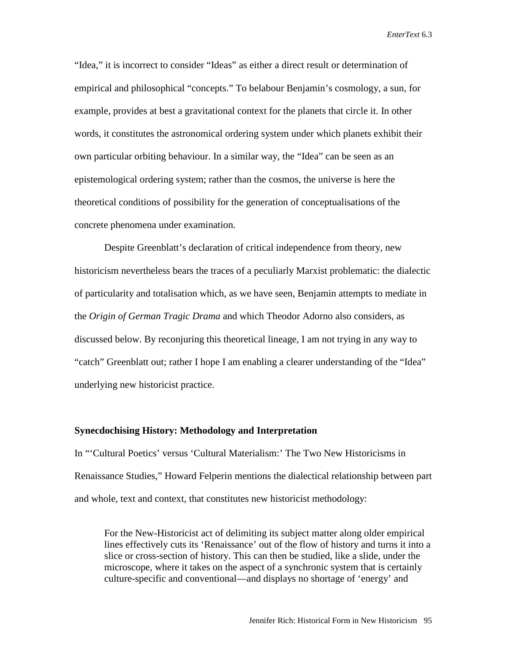"Idea," it is incorrect to consider "Ideas" as either a direct result or determination of empirical and philosophical "concepts." To belabour Benjamin's cosmology, a sun, for example, provides at best a gravitational context for the planets that circle it. In other words, it constitutes the astronomical ordering system under which planets exhibit their own particular orbiting behaviour. In a similar way, the "Idea" can be seen as an epistemological ordering system; rather than the cosmos, the universe is here the theoretical conditions of possibility for the generation of conceptualisations of the concrete phenomena under examination.

Despite Greenblatt's declaration of critical independence from theory, new historicism nevertheless bears the traces of a peculiarly Marxist problematic: the dialectic of particularity and totalisation which, as we have seen, Benjamin attempts to mediate in the *Origin of German Tragic Drama* and which Theodor Adorno also considers, as discussed below. By reconjuring this theoretical lineage, I am not trying in any way to "catch" Greenblatt out; rather I hope I am enabling a clearer understanding of the "Idea" underlying new historicist practice.

## **Synecdochising History: Methodology and Interpretation**

In "'Cultural Poetics' versus 'Cultural Materialism:' The Two New Historicisms in Renaissance Studies," Howard Felperin mentions the dialectical relationship between part and whole, text and context, that constitutes new historicist methodology:

For the New-Historicist act of delimiting its subject matter along older empirical lines effectively cuts its 'Renaissance' out of the flow of history and turns it into a slice or cross-section of history. This can then be studied, like a slide, under the microscope, where it takes on the aspect of a synchronic system that is certainly culture-specific and conventional—and displays no shortage of 'energy' and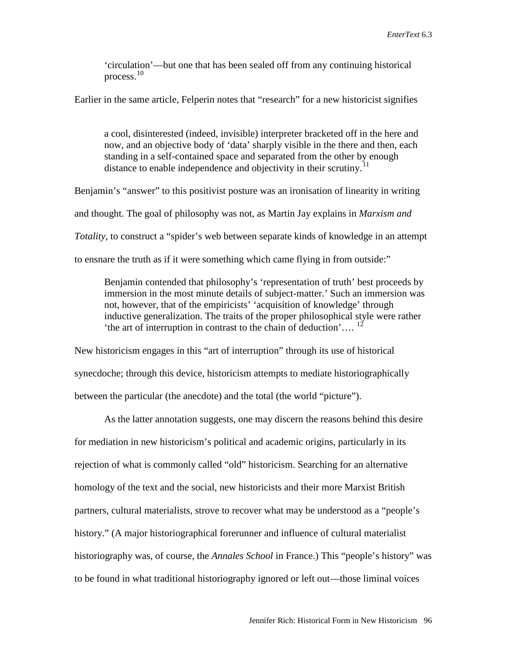'circulation'—but one that has been sealed off from any continuing historical process.[10](#page-19-4)

Earlier in the same article, Felperin notes that "research" for a new historicist signifies

a cool, disinterested (indeed, invisible) interpreter bracketed off in the here and now, and an objective body of 'data' sharply visible in the there and then, each standing in a self-contained space and separated from the other by enough distance to enable independence and objectivity in their scrutiny.<sup>[11](#page-19-5)</sup>

Benjamin's "answer" to this positivist posture was an ironisation of linearity in writing and thought. The goal of philosophy was not, as Martin Jay explains in *Marxism and Totality*, to construct a "spider's web between separate kinds of knowledge in an attempt to ensnare the truth as if it were something which came flying in from outside:"

Benjamin contended that philosophy's 'representation of truth' best proceeds by immersion in the most minute details of subject-matter.' Such an immersion was not, however, that of the empiricists' 'acquisition of knowledge' through inductive generalization. The traits of the proper philosophical style were rather 'the art of interruption in contrast to the chain of deduction'....  $^{12}$  $^{12}$  $^{12}$ 

New historicism engages in this "art of interruption" through its use of historical synecdoche; through this device, historicism attempts to mediate historiographically between the particular (the anecdote) and the total (the world "picture").

As the latter annotation suggests, one may discern the reasons behind this desire for mediation in new historicism's political and academic origins, particularly in its rejection of what is commonly called "old" historicism. Searching for an alternative homology of the text and the social, new historicists and their more Marxist British partners, cultural materialists, strove to recover what may be understood as a "people's history." (A major historiographical forerunner and influence of cultural materialist historiography was, of course, the *Annales School* in France.) This "people's history" was to be found in what traditional historiography ignored or left out—those liminal voices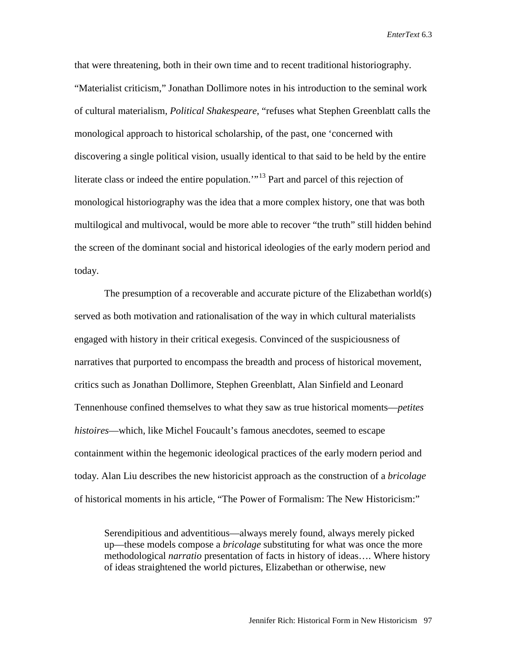that were threatening, both in their own time and to recent traditional historiography. "Materialist criticism," Jonathan Dollimore notes in his introduction to the seminal work of cultural materialism, *Political Shakespeare*, "refuses what Stephen Greenblatt calls the monological approach to historical scholarship, of the past, one 'concerned with discovering a single political vision, usually identical to that said to be held by the entire literate class or indeed the entire population."<sup>[13](#page-19-7)</sup> Part and parcel of this rejection of monological historiography was the idea that a more complex history, one that was both multilogical and multivocal, would be more able to recover "the truth" still hidden behind the screen of the dominant social and historical ideologies of the early modern period and today.

The presumption of a recoverable and accurate picture of the Elizabethan world(s) served as both motivation and rationalisation of the way in which cultural materialists engaged with history in their critical exegesis. Convinced of the suspiciousness of narratives that purported to encompass the breadth and process of historical movement, critics such as Jonathan Dollimore, Stephen Greenblatt, Alan Sinfield and Leonard Tennenhouse confined themselves to what they saw as true historical moments—*petites histoires*—which, like Michel Foucault's famous anecdotes, seemed to escape containment within the hegemonic ideological practices of the early modern period and today. Alan Liu describes the new historicist approach as the construction of a *bricolage* of historical moments in his article, "The Power of Formalism: The New Historicism:"

Serendipitious and adventitious—always merely found, always merely picked up—these models compose a *bricolage* substituting for what was once the more methodological *narratio* presentation of facts in history of ideas…. Where history of ideas straightened the world pictures, Elizabethan or otherwise, new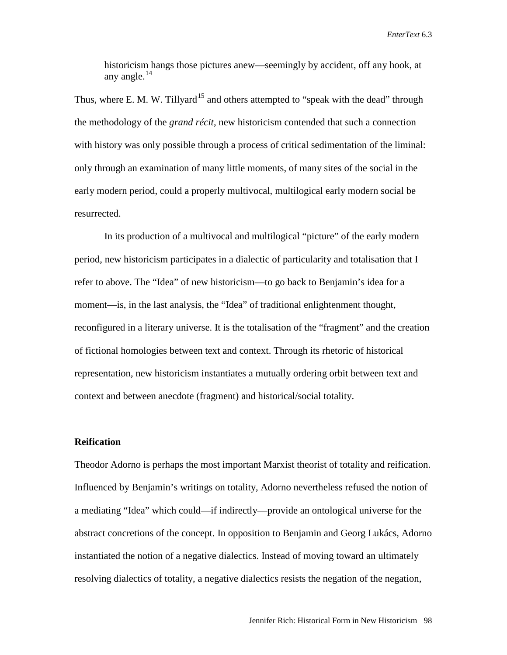historicism hangs those pictures anew—seemingly by accident, off any hook, at any angle. $^{14}$  $^{14}$  $^{14}$ 

Thus, where E. M. W. Tillyard<sup>[15](#page-19-9)</sup> and others attempted to "speak with the dead" through the methodology of the *grand récit*, new historicism contended that such a connection with history was only possible through a process of critical sedimentation of the liminal: only through an examination of many little moments, of many sites of the social in the early modern period, could a properly multivocal, multilogical early modern social be resurrected.

In its production of a multivocal and multilogical "picture" of the early modern period, new historicism participates in a dialectic of particularity and totalisation that I refer to above. The "Idea" of new historicism—to go back to Benjamin's idea for a moment—is, in the last analysis, the "Idea" of traditional enlightenment thought, reconfigured in a literary universe. It is the totalisation of the "fragment" and the creation of fictional homologies between text and context. Through its rhetoric of historical representation, new historicism instantiates a mutually ordering orbit between text and context and between anecdote (fragment) and historical/social totality.

# **Reification**

Theodor Adorno is perhaps the most important Marxist theorist of totality and reification. Influenced by Benjamin's writings on totality, Adorno nevertheless refused the notion of a mediating "Idea" which could—if indirectly—provide an ontological universe for the abstract concretions of the concept. In opposition to Benjamin and Georg Lukács, Adorno instantiated the notion of a negative dialectics. Instead of moving toward an ultimately resolving dialectics of totality, a negative dialectics resists the negation of the negation,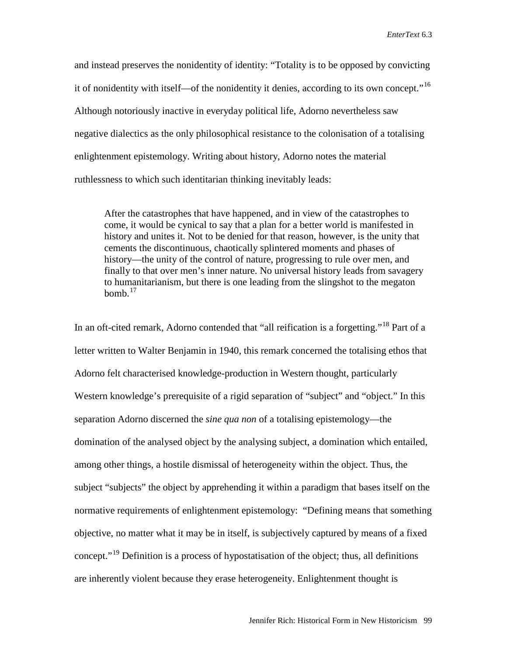and instead preserves the nonidentity of identity: "Totality is to be opposed by convicting it of nonidentity with itself—of the nonidentity it denies, according to its own concept."[16](#page-19-10) Although notoriously inactive in everyday political life, Adorno nevertheless saw negative dialectics as the only philosophical resistance to the colonisation of a totalising enlightenment epistemology. Writing about history, Adorno notes the material ruthlessness to which such identitarian thinking inevitably leads:

After the catastrophes that have happened, and in view of the catastrophes to come, it would be cynical to say that a plan for a better world is manifested in history and unites it. Not to be denied for that reason, however, is the unity that cements the discontinuous, chaotically splintered moments and phases of history—the unity of the control of nature, progressing to rule over men, and finally to that over men's inner nature. No universal history leads from savagery to humanitarianism, but there is one leading from the slingshot to the megaton bomb. [17](#page-19-11)

In an oft-cited remark, Adorno contended that "all reification is a forgetting."<sup>[18](#page-19-12)</sup> Part of a letter written to Walter Benjamin in 1940, this remark concerned the totalising ethos that Adorno felt characterised knowledge-production in Western thought, particularly Western knowledge's prerequisite of a rigid separation of "subject" and "object." In this separation Adorno discerned the *sine qua non* of a totalising epistemology—the domination of the analysed object by the analysing subject, a domination which entailed, among other things, a hostile dismissal of heterogeneity within the object. Thus, the subject "subjects" the object by apprehending it within a paradigm that bases itself on the normative requirements of enlightenment epistemology: "Defining means that something objective, no matter what it may be in itself, is subjectively captured by means of a fixed concept."<sup>[19](#page-19-13)</sup> Definition is a process of hypostatisation of the object; thus, all definitions are inherently violent because they erase heterogeneity. Enlightenment thought is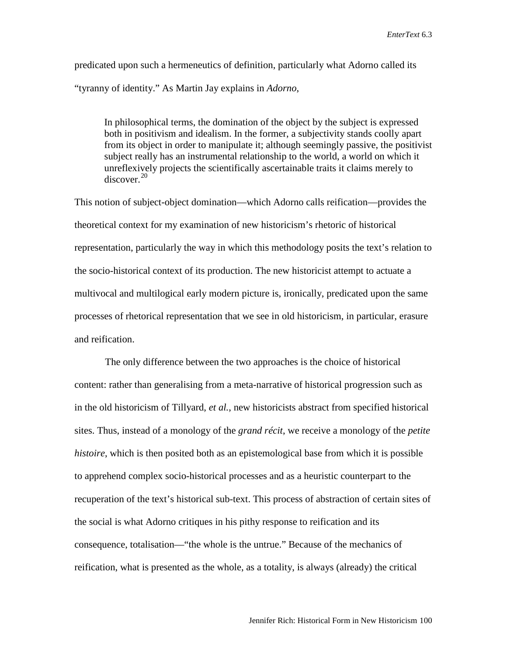predicated upon such a hermeneutics of definition, particularly what Adorno called its "tyranny of identity." As Martin Jay explains in *Adorno*,

In philosophical terms, the domination of the object by the subject is expressed both in positivism and idealism. In the former, a subjectivity stands coolly apart from its object in order to manipulate it; although seemingly passive, the positivist subject really has an instrumental relationship to the world, a world on which it unreflexively projects the scientifically ascertainable traits it claims merely to discover.[20](#page-19-14)

This notion of subject-object domination—which Adorno calls reification—provides the theoretical context for my examination of new historicism's rhetoric of historical representation, particularly the way in which this methodology posits the text's relation to the socio-historical context of its production. The new historicist attempt to actuate a multivocal and multilogical early modern picture is, ironically, predicated upon the same processes of rhetorical representation that we see in old historicism, in particular, erasure and reification.

The only difference between the two approaches is the choice of historical content: rather than generalising from a meta-narrative of historical progression such as in the old historicism of Tillyard, *et al.*, new historicists abstract from specified historical sites. Thus, instead of a monology of the *grand récit*, we receive a monology of the *petite histoire*, which is then posited both as an epistemological base from which it is possible to apprehend complex socio-historical processes and as a heuristic counterpart to the recuperation of the text's historical sub-text. This process of abstraction of certain sites of the social is what Adorno critiques in his pithy response to reification and its consequence, totalisation—"the whole is the untrue." Because of the mechanics of reification, what is presented as the whole, as a totality, is always (already) the critical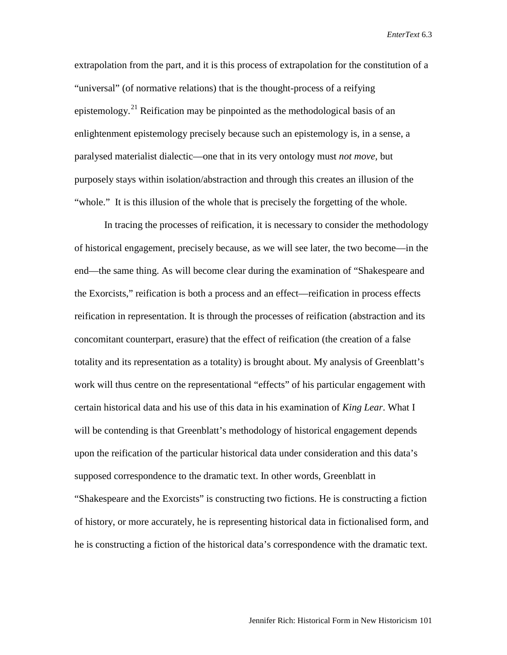extrapolation from the part, and it is this process of extrapolation for the constitution of a "universal" (of normative relations) that is the thought-process of a reifying epistemology.<sup>[21](#page-19-15)</sup> Reification may be pinpointed as the methodological basis of an enlightenment epistemology precisely because such an epistemology is, in a sense, a paralysed materialist dialectic—one that in its very ontology must *not move,* but purposely stays within isolation/abstraction and through this creates an illusion of the "whole." It is this illusion of the whole that is precisely the forgetting of the whole.

In tracing the processes of reification, it is necessary to consider the methodology of historical engagement, precisely because, as we will see later, the two become—in the end—the same thing. As will become clear during the examination of "Shakespeare and the Exorcists," reification is both a process and an effect—reification in process effects reification in representation. It is through the processes of reification (abstraction and its concomitant counterpart, erasure) that the effect of reification (the creation of a false totality and its representation as a totality) is brought about. My analysis of Greenblatt's work will thus centre on the representational "effects" of his particular engagement with certain historical data and his use of this data in his examination of *King Lear*. What I will be contending is that Greenblatt's methodology of historical engagement depends upon the reification of the particular historical data under consideration and this data's supposed correspondence to the dramatic text. In other words, Greenblatt in "Shakespeare and the Exorcists" is constructing two fictions. He is constructing a fiction of history, or more accurately, he is representing historical data in fictionalised form, and he is constructing a fiction of the historical data's correspondence with the dramatic text.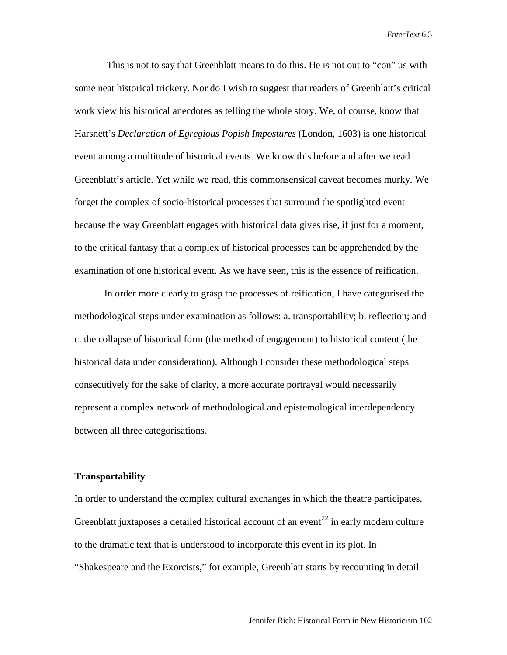This is not to say that Greenblatt means to do this. He is not out to "con" us with some neat historical trickery. Nor do I wish to suggest that readers of Greenblatt's critical work view his historical anecdotes as telling the whole story. We, of course, know that Harsnett's *Declaration of Egregious Popish Impostures* (London, 1603) is one historical event among a multitude of historical events. We know this before and after we read Greenblatt's article. Yet while we read, this commonsensical caveat becomes murky. We forget the complex of socio-historical processes that surround the spotlighted event because the way Greenblatt engages with historical data gives rise, if just for a moment, to the critical fantasy that a complex of historical processes can be apprehended by the examination of one historical event. As we have seen, this is the essence of reification.

In order more clearly to grasp the processes of reification, I have categorised the methodological steps under examination as follows: a. transportability; b. reflection; and c. the collapse of historical form (the method of engagement) to historical content (the historical data under consideration). Although I consider these methodological steps consecutively for the sake of clarity, a more accurate portrayal would necessarily represent a complex network of methodological and epistemological interdependency between all three categorisations.

#### **Transportability**

In order to understand the complex cultural exchanges in which the theatre participates, Greenblatt juxtaposes a detailed historical account of an event<sup>[22](#page-19-16)</sup> in early modern culture to the dramatic text that is understood to incorporate this event in its plot. In "Shakespeare and the Exorcists," for example, Greenblatt starts by recounting in detail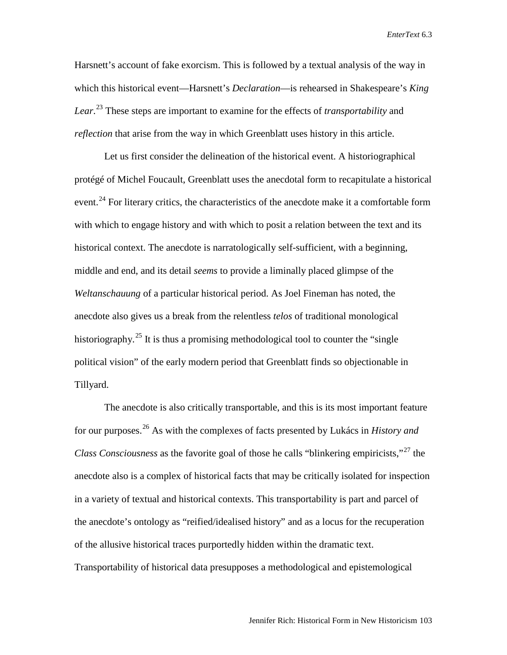Harsnett's account of fake exorcism. This is followed by a textual analysis of the way in which this historical event—Harsnett's *Declaration*—is rehearsed in Shakespeare's *King Lear*. [23](#page-19-17) These steps are important to examine for the effects of *transportability* and *reflection* that arise from the way in which Greenblatt uses history in this article.

Let us first consider the delineation of the historical event. A historiographical protégé of Michel Foucault, Greenblatt uses the anecdotal form to recapitulate a historical event.<sup>[24](#page-19-18)</sup> For literary critics, the characteristics of the anecdote make it a comfortable form with which to engage history and with which to posit a relation between the text and its historical context. The anecdote is narratologically self-sufficient, with a beginning, middle and end, and its detail *seems* to provide a liminally placed glimpse of the *Weltanschauung* of a particular historical period. As Joel Fineman has noted, the anecdote also gives us a break from the relentless *telos* of traditional monological historiography.<sup>[25](#page-19-19)</sup> It is thus a promising methodological tool to counter the "single" political vision" of the early modern period that Greenblatt finds so objectionable in Tillyard.

The anecdote is also critically transportable, and this is its most important feature for our purposes.[26](#page-19-20) As with the complexes of facts presented by Lukács in *History and Class Consciousness* as the favorite goal of those he calls "blinkering empiricists,"[27](#page-19-21) the anecdote also is a complex of historical facts that may be critically isolated for inspection in a variety of textual and historical contexts. This transportability is part and parcel of the anecdote's ontology as "reified/idealised history" and as a locus for the recuperation of the allusive historical traces purportedly hidden within the dramatic text. Transportability of historical data presupposes a methodological and epistemological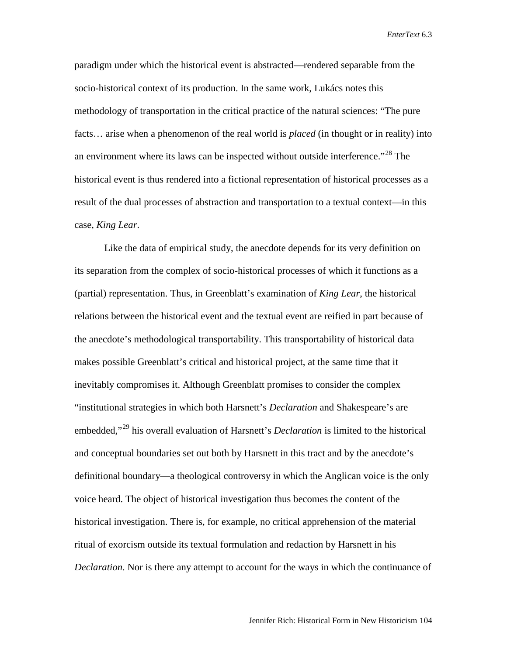paradigm under which the historical event is abstracted—rendered separable from the socio-historical context of its production. In the same work, Lukács notes this methodology of transportation in the critical practice of the natural sciences: "The pure facts… arise when a phenomenon of the real world is *placed* (in thought or in reality) into an environment where its laws can be inspected without outside interference."<sup>[28](#page-19-22)</sup> The historical event is thus rendered into a fictional representation of historical processes as a result of the dual processes of abstraction and transportation to a textual context—in this case, *King Lear*.

Like the data of empirical study, the anecdote depends for its very definition on its separation from the complex of socio-historical processes of which it functions as a (partial) representation. Thus, in Greenblatt's examination of *King Lear*, the historical relations between the historical event and the textual event are reified in part because of the anecdote's methodological transportability. This transportability of historical data makes possible Greenblatt's critical and historical project, at the same time that it inevitably compromises it. Although Greenblatt promises to consider the complex "institutional strategies in which both Harsnett's *Declaration* and Shakespeare's are embedded,"[29](#page-19-23) his overall evaluation of Harsnett's *Declaration* is limited to the historical and conceptual boundaries set out both by Harsnett in this tract and by the anecdote's definitional boundary—a theological controversy in which the Anglican voice is the only voice heard. The object of historical investigation thus becomes the content of the historical investigation. There is, for example, no critical apprehension of the material ritual of exorcism outside its textual formulation and redaction by Harsnett in his *Declaration*. Nor is there any attempt to account for the ways in which the continuance of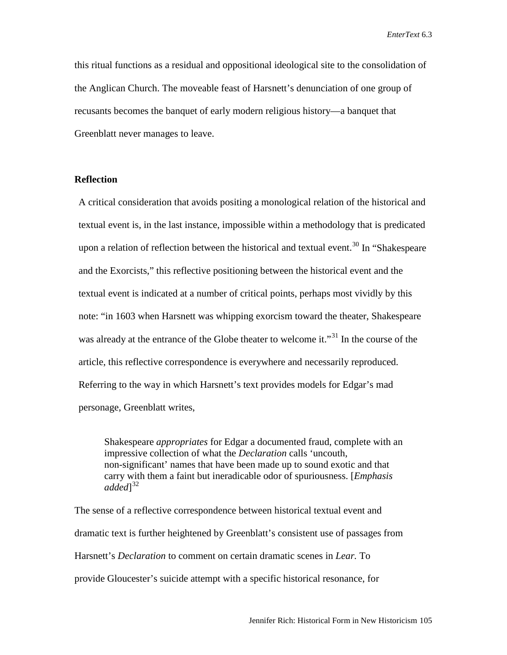this ritual functions as a residual and oppositional ideological site to the consolidation of the Anglican Church. The moveable feast of Harsnett's denunciation of one group of recusants becomes the banquet of early modern religious history—a banquet that Greenblatt never manages to leave.

## **Reflection**

A critical consideration that avoids positing a monological relation of the historical and textual event is, in the last instance, impossible within a methodology that is predicated upon a relation of reflection between the historical and textual event.<sup>[30](#page-19-24)</sup> In "Shakespeare and the Exorcists," this reflective positioning between the historical event and the textual event is indicated at a number of critical points, perhaps most vividly by this note: "in 1603 when Harsnett was whipping exorcism toward the theater, Shakespeare was already at the entrance of the Globe theater to welcome it."<sup>[31](#page-19-25)</sup> In the course of the article, this reflective correspondence is everywhere and necessarily reproduced. Referring to the way in which Harsnett's text provides models for Edgar's mad personage, Greenblatt writes,

Shakespeare *appropriates* for Edgar a documented fraud, complete with an impressive collection of what the *Declaration* calls 'uncouth, non-significant' names that have been made up to sound exotic and that carry with them a faint but ineradicable odor of spuriousness. [*Emphasis added*] [32](#page-19-26)

The sense of a reflective correspondence between historical textual event and dramatic text is further heightened by Greenblatt's consistent use of passages from Harsnett's *Declaration* to comment on certain dramatic scenes in *Lear.* To provide Gloucester's suicide attempt with a specific historical resonance, for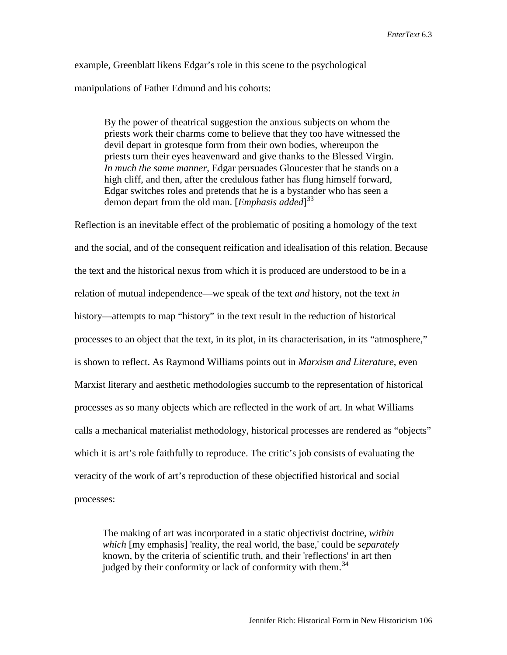example, Greenblatt likens Edgar's role in this scene to the psychological manipulations of Father Edmund and his cohorts:

> By the power of theatrical suggestion the anxious subjects on whom the priests work their charms come to believe that they too have witnessed the devil depart in grotesque form from their own bodies, whereupon the priests turn their eyes heavenward and give thanks to the Blessed Virgin. *In much the same manner*, Edgar persuades Gloucester that he stands on a high cliff, and then, after the credulous father has flung himself forward, Edgar switches roles and pretends that he is a bystander who has seen a demon depart from the old man. [*Emphasis added*] [33](#page-19-27)

Reflection is an inevitable effect of the problematic of positing a homology of the text and the social, and of the consequent reification and idealisation of this relation. Because the text and the historical nexus from which it is produced are understood to be in a relation of mutual independence—we speak of the text *and* history, not the text *in*  history—attempts to map "history" in the text result in the reduction of historical processes to an object that the text, in its plot, in its characterisation, in its "atmosphere," is shown to reflect. As Raymond Williams points out in *Marxism and Literature*, even Marxist literary and aesthetic methodologies succumb to the representation of historical processes as so many objects which are reflected in the work of art. In what Williams calls a mechanical materialist methodology, historical processes are rendered as "objects" which it is art's role faithfully to reproduce. The critic's job consists of evaluating the veracity of the work of art's reproduction of these objectified historical and social processes:

The making of art was incorporated in a static objectivist doctrine, *within which* [my emphasis] 'reality, the real world, the base,' could be *separately* known, by the criteria of scientific truth, and their 'reflections' in art then judged by their conformity or lack of conformity with them.<sup>[34](#page-19-28)</sup>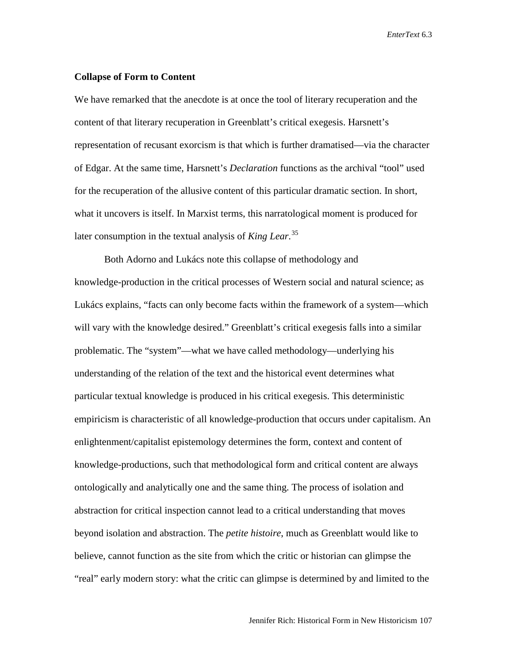### **Collapse of Form to Content**

We have remarked that the anecdote is at once the tool of literary recuperation and the content of that literary recuperation in Greenblatt's critical exegesis. Harsnett's representation of recusant exorcism is that which is further dramatised—via the character of Edgar. At the same time, Harsnett's *Declaration* functions as the archival "tool" used for the recuperation of the allusive content of this particular dramatic section. In short, what it uncovers is itself. In Marxist terms, this narratological moment is produced for later consumption in the textual analysis of *King Lear*. [35](#page-19-29)

Both Adorno and Lukács note this collapse of methodology and knowledge-production in the critical processes of Western social and natural science; as Lukács explains, "facts can only become facts within the framework of a system—which will vary with the knowledge desired." Greenblatt's critical exegesis falls into a similar problematic. The "system"—what we have called methodology—underlying his understanding of the relation of the text and the historical event determines what particular textual knowledge is produced in his critical exegesis. This deterministic empiricism is characteristic of all knowledge-production that occurs under capitalism. An enlightenment/capitalist epistemology determines the form, context and content of knowledge-productions, such that methodological form and critical content are always ontologically and analytically one and the same thing. The process of isolation and abstraction for critical inspection cannot lead to a critical understanding that moves beyond isolation and abstraction. The *petite histoire*, much as Greenblatt would like to believe, cannot function as the site from which the critic or historian can glimpse the "real" early modern story: what the critic can glimpse is determined by and limited to the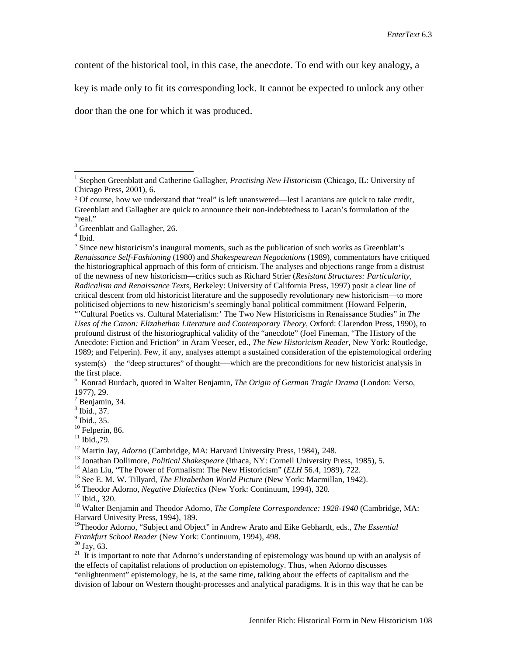content of the historical tool, in this case, the anecdote. To end with our key analogy, a

key is made only to fit its corresponding lock. It cannot be expected to unlock any other

door than the one for which it was produced.

Harvard Univesity Press, 1994), 189.

<sup>19</sup>Theodor Adorno, "Subject and Object" in Andrew Arato and Eike Gebhardt, eds., *The Essential Frankfurt School Reader* (New York: Continuum, 1994), 498.<br><sup>20</sup> Jay, 63.

*Farmakies* (School Readerstanding of epistemology was bound up with an analysis of  $\frac{21}{\pi}$  It is important to note that Adorno's understanding of epistemology was bound up with an analysis of the effects of capitalist relations of production on epistemology. Thus, when Adorno discusses "enlightenment" epistemology, he is, at the same time, talking about the effects of capitalism and the

division of labour on Western thought-processes and analytical paradigms. It is in this way that he can be

<span id="page-17-0"></span> <sup>1</sup> Stephen Greenblatt and Catherine Gallagher, *Practising New Historicism* (Chicago, IL: University of Chicago Press, 2001), 6.

<span id="page-17-1"></span><sup>2</sup> Of course, how we understand that "real" is left unanswered—lest Lacanians are quick to take credit, Greenblatt and Gallagher are quick to announce their non-indebtedness to Lacan's formulation of the "real."<br> $3 \text{ Greenblatt}$  and Gallagher, 26.<br> $4 \text{ Ibid.}$ 

<sup>&</sup>lt;sup>5</sup> Since new historicism's inaugural moments, such as the publication of such works as Greenblatt's *Renaissance Self-Fashioning* (1980) and *Shakespearean Negotiations* (1989), commentators have critiqued the historiographical approach of this form of criticism. The analyses and objections range from a distrust of the newness of new historicism—critics such as Richard Strier (*Resistant Structures: Particularity, Radicalism and Renaissance Texts,* Berkeley: University of California Press, 1997) posit a clear line of critical descent from old historicist literature and the supposedly revolutionary new historicism—to more politicised objections to new historicism's seemingly banal political commitment (Howard Felperin,

<sup>&</sup>quot;'Cultural Poetics vs. Cultural Materialism:' The Two New Historicisms in Renaissance Studies" in *The Uses of the Canon: Elizabethan Literature and Contemporary Theory,* Oxford: Clarendon Press, 1990), to profound distrust of the historiographical validity of the "anecdote" (Joel Fineman, "The History of the Anecdote: Fiction and Friction" in Aram Veeser, ed., *The New Historicism Reader,* New York: Routledge, 1989; and Felperin). Few, if any, analyses attempt a sustained consideration of the epistemological ordering system(s)—the "deep structures" of thought—which are the preconditions for new historicist analysis in the first place.

Konrad Burdach, quoted in Walter Benjamin, *The Origin of German Tragic Drama* (London: Verso, 1977), 29.<br> $\frac{7}{8}$  Benjamin, 34.<br> $\frac{8}{1}$  Ibid., 37.

<sup>&</sup>lt;sup>9</sup> Ibid., 35. <sup>10</sup> Felperin, 86. <sup>11</sup> Ibid., 79.

<sup>&</sup>lt;sup>12</sup> Martin Jay, *Adorno* (Cambridge, MA: Harvard University Press, 1984), 248.<br><sup>13</sup> Jonathan Dollimore, *Political Shakespeare* (Ithaca, NY: Cornell University Press, 1985), 5.<br><sup>14</sup> Alan Liu, "The Power of Formalism: The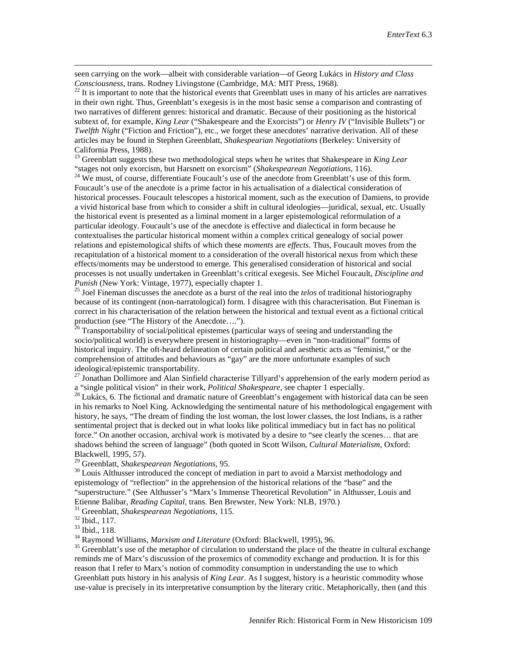seen carrying on the work—albeit with considerable variation—of Georg Lukács in *History and Class Consciousness,* trans. Rodney Livingstone (Cambridge, MA: MIT Press, 1968).<br><sup>22</sup> It is important to note that the historical events that Greenblatt uses in many of his articles are narratives

in their own right. Thus, Greenblatt's exegesis is in the most basic sense a comparison and contrasting of two narratives of different genres: historical and dramatic. Because of their positioning as the historical subtext of, for example, *King Lear* ("Shakespeare and the Exorcists") or *Henry IV* ("Invisible Bullets") or *Twelfth Night* ("Fiction and Friction"), etc., we forget these anecdotes' narrative derivation. All of these articles may be found in Stephen Greenblatt, *Shakespearian Negotiations* (Berkeley: University of

California Press, 1988).<br><sup>23</sup> Greenblatt suggests these two methodological steps when he writes that Shakespeare in *King Lear* "stages not only exorcism, but Harsnett on exorcism" (*Shakespearean Negotiations*, 116).

<span id="page-18-0"></span><sup>24</sup> We must, of course, differentiate Foucault's use of the anecdote from Greenblatt's use of this form. Foucault's use of the anecdote is a prime factor in his actualisation of a dialectical consideration of historical processes. Foucault telescopes a historical moment, such as the execution of Damiens, to provide a vivid historical base from which to consider a shift in cultural ideologies—juridical, sexual, etc. Usually the historical event is presented as a liminal moment in a larger epistemological reformulation of a particular ideology. Foucault's use of the anecdote is effective and dialectical in form because he contextualises the particular historical moment within a complex critical genealogy of social power relations and epistemological shifts of which these *moments* are *effects*. Thus, Foucault moves from the recapitulation of a historical moment to a consideration of the overall historical nexus from which these effects/moments may be understood to emerge. This generalised consideration of historical and social processes is not usually undertaken in Greenblatt's critical exegesis. See Michel Foucault, *Discipline and* 

<span id="page-18-2"></span><span id="page-18-1"></span><sup>25</sup> Joel Fineman discusses the anecdote as a burst of the real into the *telos* of traditional historiography because of its contingent (non-narratological) form. I disagree with this characterisation. But Fineman is correct in his characterisation of the relation between the historical and textual event as a fictional critical production (see "The History of the Anecdote....").<br><sup>26</sup> Transportability of social/political epistemes (particular ways of seeing and understanding the

socio/political world) is everywhere present in historiography—even in "non-traditional" forms of historical inquiry. The oft-heard delineation of certain political and aesthetic acts as "feminist," or the comprehension of attitudes and behaviours as "gay" are the more unfortunate examples of such

ideological/epistemic transportability.<br><sup>27</sup> Jonathan Dollimore and Alan Sinfield characterise Tillyard's apprehension of the early modern period as<br>a "single political vision" in their work, *Political Shakespeare*, see c

<sup>28</sup> Lukács, 6. The fictional and dramatic nature of Greenblatt's engagement with historical data can be seen in his remarks to Noel King. Acknowledging the sentimental nature of his methodological engagement with history, he says, "The dream of finding the lost woman, the lost lower classes, the lost Indians, is a rather sentimental project that is decked out in what looks like political immediacy but in fact has no political force." On another occasion, archival work is motivated by a desire to "see clearly the scenes… that are shadows behind the screen of language" (both quoted in Scott Wilson, *Cultural Materialism*, Oxford: Blackwell, 1995, 57).<br><sup>29</sup> Greenblatt, *Shakespearean Negotiations*, 95.<br><sup>30</sup> Louis Althusser introduced the concept of mediation in part to avoid a Marxist methodology and

epistemology of "reflection" in the apprehension of the historical relations of the "base" and the "superstructure." (See Althusser's "Marx's Immense Theoretical Revolution" in Althusser, Louis and<br>Etienne Balibar, *Reading Capital*, trans. Ben Brewster, New York: NLB, 1970.)

 $\overline{a}$ 

<sup>31</sup> Greenblatt, *Shakespearean Negotiations*, 115.<br><sup>32</sup> Ibid., 117.<br><sup>33</sup> Ibid., 118.<br><sup>34</sup> Raymond Williams, *Marxism and Literature* (Oxford: Blackwell, 1995), 96.<br><sup>35</sup> Greenblatt's use of the metaphor of circulation to reminds me of Marx's discussion of the proxemics of commodity exchange and production. It is for this reason that I refer to Marx's notion of commodity consumption in understanding the use to which Greenblatt puts history in his analysis of *King Lear*. As I suggest, history is a heuristic commodity whose use-value is precisely in its interpretative consumption by the literary critic. Metaphorically, then (and this